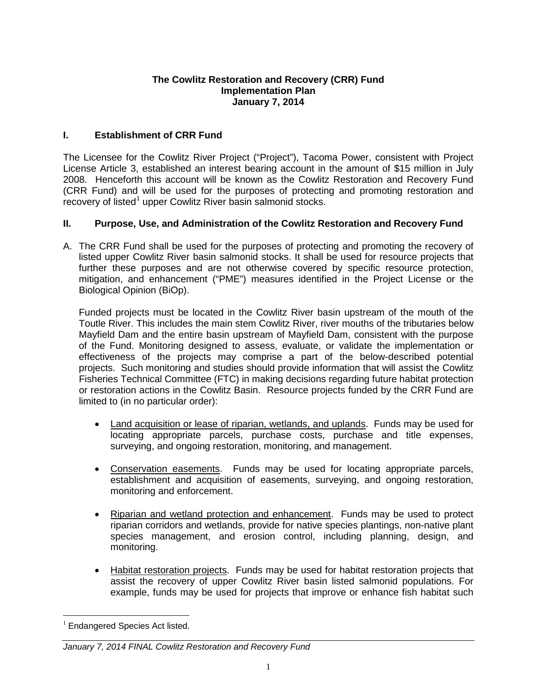## **The Cowlitz Restoration and Recovery (CRR) Fund Implementation Plan January 7, 2014**

# **I. Establishment of CRR Fund**

The Licensee for the Cowlitz River Project ("Project"), Tacoma Power, consistent with Project License Article 3, established an interest bearing account in the amount of \$15 million in July 2008. Henceforth this account will be known as the Cowlitz Restoration and Recovery Fund (CRR Fund) and will be used for the purposes of protecting and promoting restoration and recovery of listed<sup>[1](#page-0-0)</sup> upper Cowlitz River basin salmonid stocks.

# **II. Purpose, Use, and Administration of the Cowlitz Restoration and Recovery Fund**

A. The CRR Fund shall be used for the purposes of protecting and promoting the recovery of listed upper Cowlitz River basin salmonid stocks. It shall be used for resource projects that further these purposes and are not otherwise covered by specific resource protection, mitigation, and enhancement ("PME") measures identified in the Project License or the Biological Opinion (BiOp).

Funded projects must be located in the Cowlitz River basin upstream of the mouth of the Toutle River. This includes the main stem Cowlitz River, river mouths of the tributaries below Mayfield Dam and the entire basin upstream of Mayfield Dam, consistent with the purpose of the Fund. Monitoring designed to assess, evaluate, or validate the implementation or effectiveness of the projects may comprise a part of the below-described potential projects. Such monitoring and studies should provide information that will assist the Cowlitz Fisheries Technical Committee (FTC) in making decisions regarding future habitat protection or restoration actions in the Cowlitz Basin. Resource projects funded by the CRR Fund are limited to (in no particular order):

- Land acquisition or lease of riparian, wetlands, and uplands. Funds may be used for locating appropriate parcels, purchase costs, purchase and title expenses, surveying, and ongoing restoration, monitoring, and management.
- Conservation easements. Funds may be used for locating appropriate parcels, establishment and acquisition of easements, surveying, and ongoing restoration, monitoring and enforcement.
- Riparian and wetland protection and enhancement. Funds may be used to protect riparian corridors and wetlands, provide for native species plantings, non-native plant species management, and erosion control, including planning, design, and monitoring.
- Habitat restoration projects. Funds may be used for habitat restoration projects that assist the recovery of upper Cowlitz River basin listed salmonid populations. For example, funds may be used for projects that improve or enhance fish habitat such

<span id="page-0-0"></span> $1$  Endangered Species Act listed.

*January 7, 2014 FINAL Cowlitz Restoration and Recovery Fund*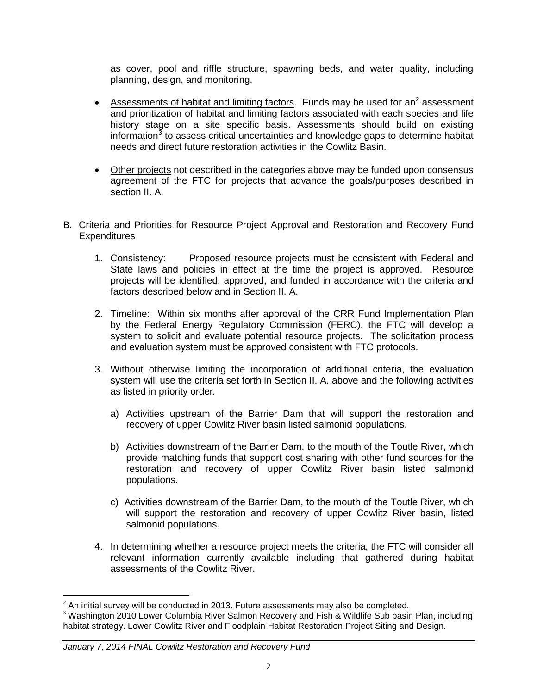as cover, pool and riffle structure, spawning beds, and water quality, including planning, design, and monitoring.

- Assessments of habitat and limiting factors. Funds may be used for an<sup>[2](#page-1-0)</sup> assessment and prioritization of habitat and limiting factors associated with each species and life history stage on a site specific basis. Assessments should build on existing information $3$  to assess critical uncertainties and knowledge gaps to determine habitat needs and direct future restoration activities in the Cowlitz Basin.
- Other projects not described in the categories above may be funded upon consensus agreement of the FTC for projects that advance the goals/purposes described in section II. A.
- B. Criteria and Priorities for Resource Project Approval and Restoration and Recovery Fund **Expenditures** 
	- 1. Consistency: Proposed resource projects must be consistent with Federal and State laws and policies in effect at the time the project is approved. Resource projects will be identified, approved, and funded in accordance with the criteria and factors described below and in Section II. A.
	- 2. Timeline: Within six months after approval of the CRR Fund Implementation Plan by the Federal Energy Regulatory Commission (FERC), the FTC will develop a system to solicit and evaluate potential resource projects. The solicitation process and evaluation system must be approved consistent with FTC protocols.
	- 3. Without otherwise limiting the incorporation of additional criteria, the evaluation system will use the criteria set forth in Section II. A. above and the following activities as listed in priority order*.* 
		- a) Activities upstream of the Barrier Dam that will support the restoration and recovery of upper Cowlitz River basin listed salmonid populations.
		- b) Activities downstream of the Barrier Dam, to the mouth of the Toutle River, which provide matching funds that support cost sharing with other fund sources for the restoration and recovery of upper Cowlitz River basin listed salmonid populations.
		- c) Activities downstream of the Barrier Dam, to the mouth of the Toutle River, which will support the restoration and recovery of upper Cowlitz River basin, listed salmonid populations.
	- 4. In determining whether a resource project meets the criteria, the FTC will consider all relevant information currently available including that gathered during habitat assessments of the Cowlitz River.

#### *January 7, 2014 FINAL Cowlitz Restoration and Recovery Fund*

<span id="page-1-0"></span> $2$  An initial survey will be conducted in 2013. Future assessments may also be completed.

<span id="page-1-1"></span> $3$  Washington 2010 Lower Columbia River Salmon Recovery and Fish & Wildlife Sub basin Plan, including habitat strategy. Lower Cowlitz River and Floodplain Habitat Restoration Project Siting and Design.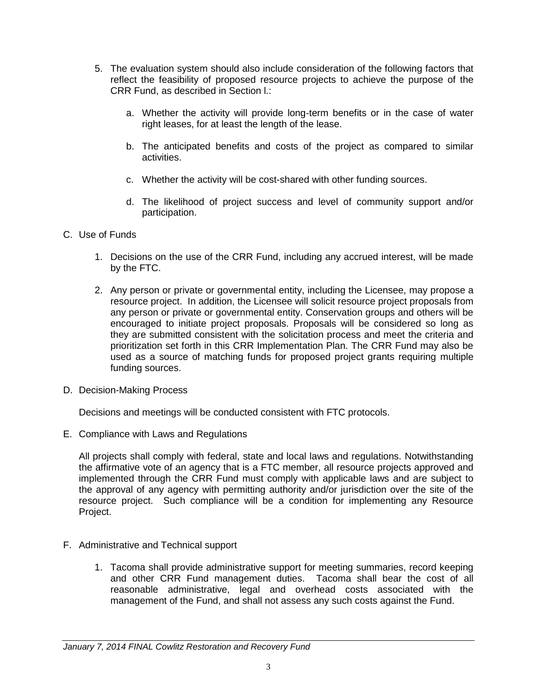- 5. The evaluation system should also include consideration of the following factors that reflect the feasibility of proposed resource projects to achieve the purpose of the CRR Fund, as described in Section l.:
	- a. Whether the activity will provide long-term benefits or in the case of water right leases, for at least the length of the lease.
	- b. The anticipated benefits and costs of the project as compared to similar activities.
	- c. Whether the activity will be cost-shared with other funding sources.
	- d. The likelihood of project success and level of community support and/or participation.
- C. Use of Funds
	- 1. Decisions on the use of the CRR Fund, including any accrued interest, will be made by the FTC.
	- 2. Any person or private or governmental entity, including the Licensee, may propose a resource project. In addition, the Licensee will solicit resource project proposals from any person or private or governmental entity. Conservation groups and others will be encouraged to initiate project proposals. Proposals will be considered so long as they are submitted consistent with the solicitation process and meet the criteria and prioritization set forth in this CRR Implementation Plan. The CRR Fund may also be used as a source of matching funds for proposed project grants requiring multiple funding sources.
- D. Decision-Making Process

Decisions and meetings will be conducted consistent with FTC protocols.

E. Compliance with Laws and Regulations

All projects shall comply with federal, state and local laws and regulations. Notwithstanding the affirmative vote of an agency that is a FTC member, all resource projects approved and implemented through the CRR Fund must comply with applicable laws and are subject to the approval of any agency with permitting authority and/or jurisdiction over the site of the resource project. Such compliance will be a condition for implementing any Resource Project.

- F. Administrative and Technical support
	- 1. Tacoma shall provide administrative support for meeting summaries, record keeping and other CRR Fund management duties. Tacoma shall bear the cost of all reasonable administrative, legal and overhead costs associated with the management of the Fund, and shall not assess any such costs against the Fund.